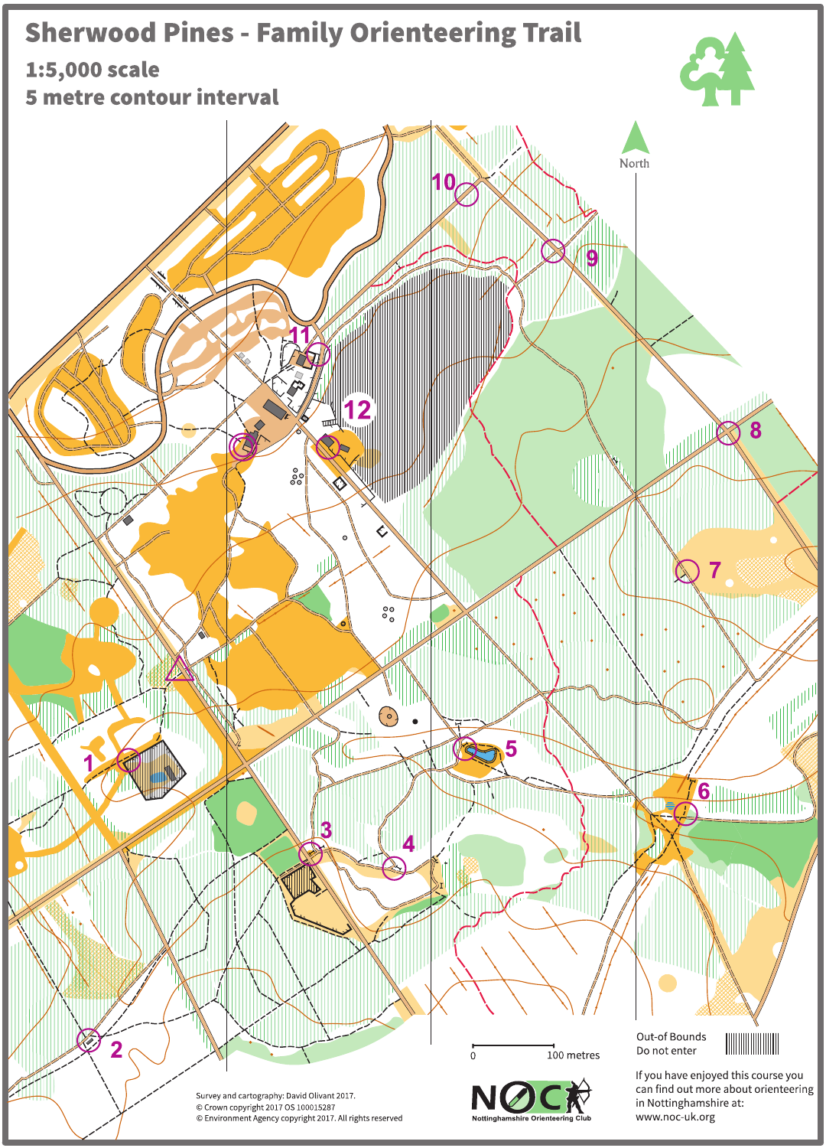